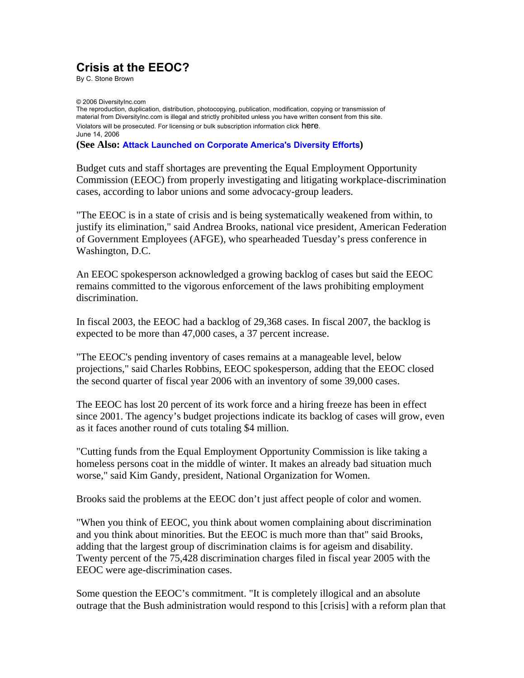## **Crisis at the EEOC?**

By C. Stone Brown

© 2006 DiversityInc.com The reproduction, duplication, distribution, photocopying, publication, modification, copying or transmission of material from DiversityInc.com is illegal and strictly prohibited unless you have written consent from this site. Violators will be prosecuted. For licensing or bulk subscription information click here. June 14, 2006

**(See Also: Attack Launched on Corporate America's Diversity Efforts)**

Budget cuts and staff shortages are preventing the Equal Employment Opportunity Commission (EEOC) from properly investigating and litigating workplace-discrimination cases, according to labor unions and some advocacy-group leaders.

"The EEOC is in a state of crisis and is being systematically weakened from within, to justify its elimination," said Andrea Brooks, national vice president, American Federation of Government Employees (AFGE), who spearheaded Tuesday's press conference in Washington, D.C.

An EEOC spokesperson acknowledged a growing backlog of cases but said the EEOC remains committed to the vigorous enforcement of the laws prohibiting employment discrimination.

In fiscal 2003, the EEOC had a backlog of 29,368 cases. In fiscal 2007, the backlog is expected to be more than 47,000 cases, a 37 percent increase.

"The EEOC's pending inventory of cases remains at a manageable level, below projections," said Charles Robbins, EEOC spokesperson, adding that the EEOC closed the second quarter of fiscal year 2006 with an inventory of some 39,000 cases.

The EEOC has lost 20 percent of its work force and a hiring freeze has been in effect since 2001. The agency's budget projections indicate its backlog of cases will grow, even as it faces another round of cuts totaling \$4 million.

"Cutting funds from the Equal Employment Opportunity Commission is like taking a homeless persons coat in the middle of winter. It makes an already bad situation much worse," said Kim Gandy, president, National Organization for Women.

Brooks said the problems at the EEOC don't just affect people of color and women.

"When you think of EEOC, you think about women complaining about discrimination and you think about minorities. But the EEOC is much more than that" said Brooks, adding that the largest group of discrimination claims is for ageism and disability. Twenty percent of the 75,428 discrimination charges filed in fiscal year 2005 with the EEOC were age-discrimination cases.

Some question the EEOC's commitment. "It is completely illogical and an absolute outrage that the Bush administration would respond to this [crisis] with a reform plan that